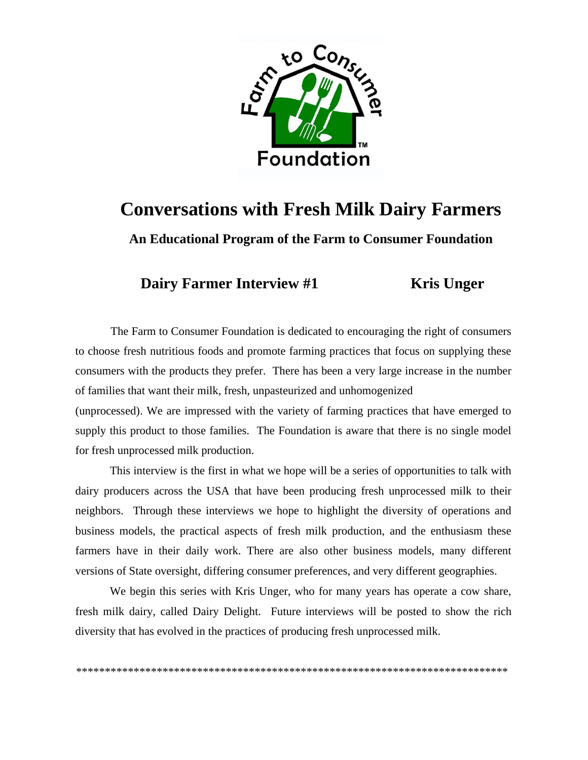

## **Conversations with Fresh Milk Dairy Farmers**

**An Educational Program of the Farm to Consumer Foundation**

**Dairy Farmer Interview #1** Kris Unger

The Farm to Consumer Foundation is dedicated to encouraging the right of consumers to choose fresh nutritious foods and promote farming practices that focus on supplying these consumers with the products they prefer. There has been a very large increase in the number of families that want their milk, fresh, unpasteurized and unhomogenized

(unprocessed). We are impressed with the variety of farming practices that have emerged to supply this product to those families. The Foundation is aware that there is no single model for fresh unprocessed milk production.

This interview is the first in what we hope will be a series of opportunities to talk with dairy producers across the USA that have been producing fresh unprocessed milk to their neighbors. Through these interviews we hope to highlight the diversity of operations and business models, the practical aspects of fresh milk production, and the enthusiasm these farmers have in their daily work. There are also other business models, many different versions of State oversight, differing consumer preferences, and very different geographies.

We begin this series with Kris Unger, who for many years has operate a cow share, fresh milk dairy, called Dairy Delight. Future interviews will be posted to show the rich diversity that has evolved in the practices of producing fresh unprocessed milk.

\*\*\*\*\*\*\*\*\*\*\*\*\*\*\*\*\*\*\*\*\*\*\*\*\*\*\*\*\*\*\*\*\*\*\*\*\*\*\*\*\*\*\*\*\*\*\*\*\*\*\*\*\*\*\*\*\*\*\*\*\*\*\*\*\*\*\*\*\*\*\*\*\*\*\*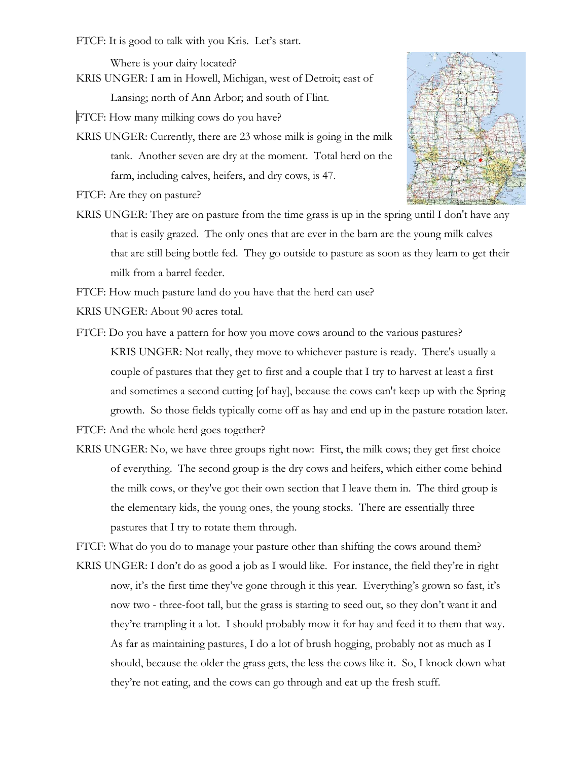FTCF: It is good to talk with you Kris. Let's start.

Where is your dairy located?

KRIS UNGER: I am in Howell, Michigan, west of Detroit; east of Lansing; north of Ann Arbor; and south of Flint.

FTCF: How many milking cows do you have?

KRIS UNGER: Currently, there are 23 whose milk is going in the milk tank. Another seven are dry at the moment. Total herd on the farm, including calves, heifers, and dry cows, is 47.

FTCF: Are they on pasture?

KRIS UNGER: They are on pasture from the time grass is up in the spring until I don't have any that is easily grazed. The only ones that are ever in the barn are the young milk calves that are still being bottle fed. They go outside to pasture as soon as they learn to get their milk from a barrel feeder.

FTCF: How much pasture land do you have that the herd can use?

- KRIS UNGER: About 90 acres total.
- FTCF: Do you have a pattern for how you move cows around to the various pastures? KRIS UNGER: Not really, they move to whichever pasture is ready. There's usually a couple of pastures that they get to first and a couple that I try to harvest at least a first and sometimes a second cutting [of hay], because the cows can't keep up with the Spring growth. So those fields typically come off as hay and end up in the pasture rotation later.

FTCF: And the whole herd goes together?

KRIS UNGER: No, we have three groups right now: First, the milk cows; they get first choice of everything. The second group is the dry cows and heifers, which either come behind the milk cows, or they've got their own section that I leave them in. The third group is the elementary kids, the young ones, the young stocks. There are essentially three pastures that I try to rotate them through.

FTCF: What do you do to manage your pasture other than shifting the cows around them?

KRIS UNGER: I don't do as good a job as I would like. For instance, the field they're in right now, it's the first time they've gone through it this year. Everything's grown so fast, it's now two - three-foot tall, but the grass is starting to seed out, so they don't want it and they're trampling it a lot. I should probably mow it for hay and feed it to them that way. As far as maintaining pastures, I do a lot of brush hogging, probably not as much as I should, because the older the grass gets, the less the cows like it. So, I knock down what they're not eating, and the cows can go through and eat up the fresh stuff.

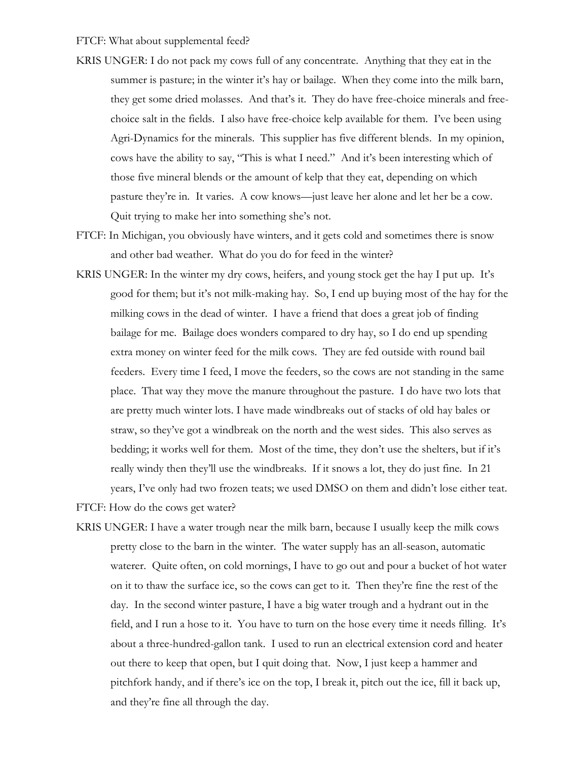- KRIS UNGER: I do not pack my cows full of any concentrate. Anything that they eat in the summer is pasture; in the winter it's hay or bailage. When they come into the milk barn, they get some dried molasses. And that's it. They do have free-choice minerals and freechoice salt in the fields. I also have free-choice kelp available for them. I've been using Agri-Dynamics for the minerals. This supplier has five different blends. In my opinion, cows have the ability to say, "This is what I need." And it's been interesting which of those five mineral blends or the amount of kelp that they eat, depending on which pasture they're in. It varies. A cow knows—just leave her alone and let her be a cow. Quit trying to make her into something she's not.
- FTCF: In Michigan, you obviously have winters, and it gets cold and sometimes there is snow and other bad weather. What do you do for feed in the winter?
- KRIS UNGER: In the winter my dry cows, heifers, and young stock get the hay I put up. It's good for them; but it's not milk-making hay. So, I end up buying most of the hay for the milking cows in the dead of winter. I have a friend that does a great job of finding bailage for me. Bailage does wonders compared to dry hay, so I do end up spending extra money on winter feed for the milk cows. They are fed outside with round bail feeders. Every time I feed, I move the feeders, so the cows are not standing in the same place. That way they move the manure throughout the pasture. I do have two lots that are pretty much winter lots. I have made windbreaks out of stacks of old hay bales or straw, so they've got a windbreak on the north and the west sides. This also serves as bedding; it works well for them. Most of the time, they don't use the shelters, but if it's really windy then they'll use the windbreaks. If it snows a lot, they do just fine. In 21 years, I've only had two frozen teats; we used DMSO on them and didn't lose either teat.

FTCF: How do the cows get water?

KRIS UNGER: I have a water trough near the milk barn, because I usually keep the milk cows pretty close to the barn in the winter. The water supply has an all-season, automatic waterer. Quite often, on cold mornings, I have to go out and pour a bucket of hot water on it to thaw the surface ice, so the cows can get to it. Then they're fine the rest of the day. In the second winter pasture, I have a big water trough and a hydrant out in the field, and I run a hose to it. You have to turn on the hose every time it needs filling. It's about a three-hundred-gallon tank. I used to run an electrical extension cord and heater out there to keep that open, but I quit doing that. Now, I just keep a hammer and pitchfork handy, and if there's ice on the top, I break it, pitch out the ice, fill it back up, and they're fine all through the day.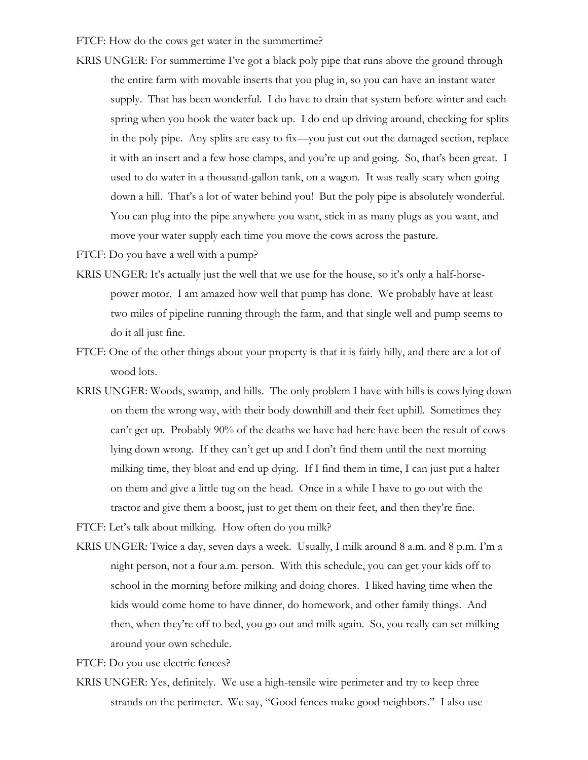FTCF: How do the cows get water in the summertime?

- KRIS UNGER: For summertime I've got a black poly pipe that runs above the ground through the entire farm with movable inserts that you plug in, so you can have an instant water supply. That has been wonderful. I do have to drain that system before winter and each spring when you hook the water back up. I do end up driving around, checking for splits in the poly pipe. Any splits are easy to fix—you just cut out the damaged section, replace it with an insert and a few hose clamps, and you're up and going. So, that's been great. I used to do water in a thousand-gallon tank, on a wagon. It was really scary when going down a hill. That's a lot of water behind you! But the poly pipe is absolutely wonderful. You can plug into the pipe anywhere you want, stick in as many plugs as you want, and move your water supply each time you move the cows across the pasture.
- FTCF: Do you have a well with a pump?
- KRIS UNGER: It's actually just the well that we use for the house, so it's only a half-horsepower motor. I am amazed how well that pump has done. We probably have at least two miles of pipeline running through the farm, and that single well and pump seems to do it all just fine.
- FTCF: One of the other things about your property is that it is fairly hilly, and there are a lot of wood lots.
- KRIS UNGER: Woods, swamp, and hills. The only problem I have with hills is cows lying down on them the wrong way, with their body downhill and their feet uphill. Sometimes they can't get up. Probably 90% of the deaths we have had here have been the result of cows lying down wrong. If they can't get up and I don't find them until the next morning milking time, they bloat and end up dying. If I find them in time, I can just put a halter on them and give a little tug on the head. Once in a while I have to go out with the tractor and give them a boost, just to get them on their feet, and then they're fine.
- FTCF: Let's talk about milking. How often do you milk?
- KRIS UNGER: Twice a day, seven days a week. Usually, I milk around 8 a.m. and 8 p.m. I'm a night person, not a four a.m. person. With this schedule, you can get your kids off to school in the morning before milking and doing chores. I liked having time when the kids would come home to have dinner, do homework, and other family things. And then, when they're off to bed, you go out and milk again. So, you really can set milking around your own schedule.

FTCF: Do you use electric fences?

KRIS UNGER: Yes, definitely. We use a high-tensile wire perimeter and try to keep three strands on the perimeter. We say, "Good fences make good neighbors." I also use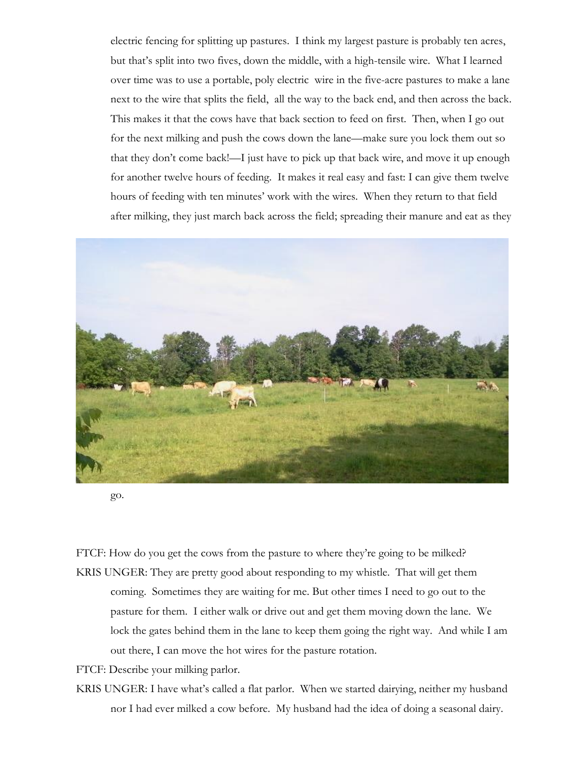electric fencing for splitting up pastures. I think my largest pasture is probably ten acres, but that's split into two fives, down the middle, with a high-tensile wire. What I learned over time was to use a portable, poly electric wire in the five-acre pastures to make a lane next to the wire that splits the field, all the way to the back end, and then across the back. This makes it that the cows have that back section to feed on first. Then, when I go out for the next milking and push the cows down the lane—make sure you lock them out so that they don't come back!—I just have to pick up that back wire, and move it up enough for another twelve hours of feeding. It makes it real easy and fast: I can give them twelve hours of feeding with ten minutes' work with the wires. When they return to that field after milking, they just march back across the field; spreading their manure and eat as they



go.

FTCF: How do you get the cows from the pasture to where they're going to be milked?

KRIS UNGER: They are pretty good about responding to my whistle. That will get them coming. Sometimes they are waiting for me. But other times I need to go out to the pasture for them. I either walk or drive out and get them moving down the lane. We lock the gates behind them in the lane to keep them going the right way. And while I am out there, I can move the hot wires for the pasture rotation.

FTCF: Describe your milking parlor.

KRIS UNGER: I have what's called a flat parlor. When we started dairying, neither my husband nor I had ever milked a cow before. My husband had the idea of doing a seasonal dairy.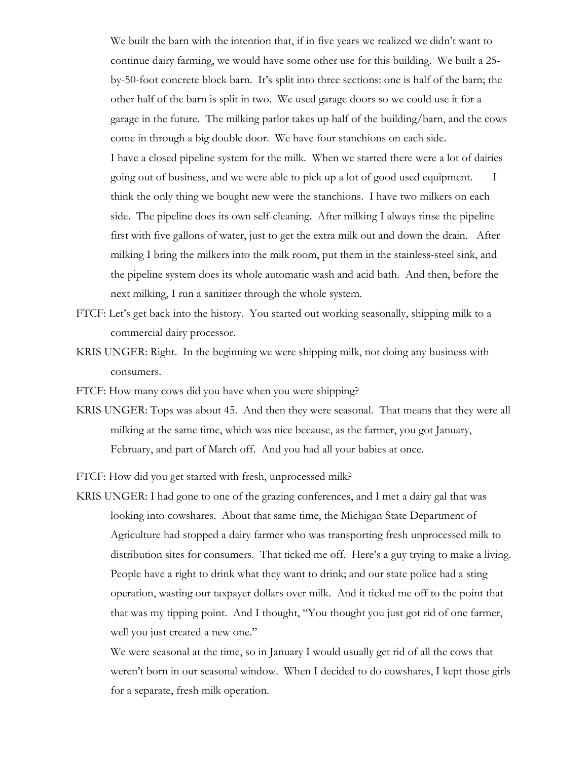We built the barn with the intention that, if in five years we realized we didn't want to continue dairy farming, we would have some other use for this building. We built a 25 by-50-foot concrete block barn. It's split into three sections: one is half of the barn; the other half of the barn is split in two. We used garage doors so we could use it for a garage in the future. The milking parlor takes up half of the building/barn, and the cows come in through a big double door. We have four stanchions on each side. I have a closed pipeline system for the milk. When we started there were a lot of dairies going out of business, and we were able to pick up a lot of good used equipment. I think the only thing we bought new were the stanchions. I have two milkers on each side. The pipeline does its own self-cleaning. After milking I always rinse the pipeline first with five gallons of water, just to get the extra milk out and down the drain. After milking I bring the milkers into the milk room, put them in the stainless-steel sink, and the pipeline system does its whole automatic wash and acid bath. And then, before the next milking, I run a sanitizer through the whole system.

- FTCF: Let's get back into the history. You started out working seasonally, shipping milk to a commercial dairy processor.
- KRIS UNGER: Right. In the beginning we were shipping milk, not doing any business with consumers.

FTCF: How many cows did you have when you were shipping?

KRIS UNGER: Tops was about 45. And then they were seasonal. That means that they were all milking at the same time, which was nice because, as the farmer, you got January, February, and part of March off. And you had all your babies at once.

FTCF: How did you get started with fresh, unprocessed milk?

KRIS UNGER: I had gone to one of the grazing conferences, and I met a dairy gal that was looking into cowshares. About that same time, the Michigan State Department of Agriculture had stopped a dairy farmer who was transporting fresh unprocessed milk to distribution sites for consumers. That ticked me off. Here's a guy trying to make a living. People have a right to drink what they want to drink; and our state police had a sting operation, wasting our taxpayer dollars over milk. And it ticked me off to the point that that was my tipping point. And I thought, "You thought you just got rid of one farmer, well you just created a new one."

We were seasonal at the time, so in January I would usually get rid of all the cows that weren't born in our seasonal window. When I decided to do cowshares, I kept those girls for a separate, fresh milk operation.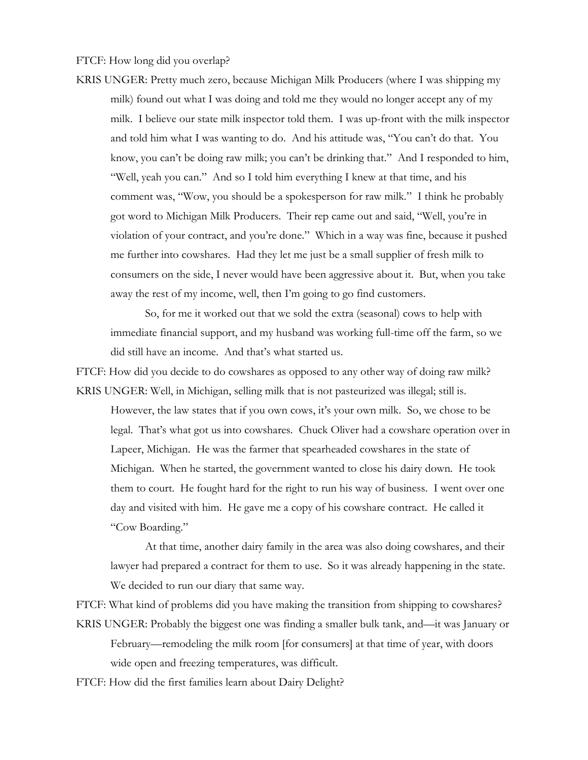FTCF: How long did you overlap?

KRIS UNGER: Pretty much zero, because Michigan Milk Producers (where I was shipping my milk) found out what I was doing and told me they would no longer accept any of my milk. I believe our state milk inspector told them. I was up-front with the milk inspector and told him what I was wanting to do. And his attitude was, "You can't do that. You know, you can't be doing raw milk; you can't be drinking that." And I responded to him, "Well, yeah you can." And so I told him everything I knew at that time, and his comment was, "Wow, you should be a spokesperson for raw milk." I think he probably got word to Michigan Milk Producers. Their rep came out and said, "Well, you're in violation of your contract, and you're done." Which in a way was fine, because it pushed me further into cowshares. Had they let me just be a small supplier of fresh milk to consumers on the side, I never would have been aggressive about it. But, when you take away the rest of my income, well, then I'm going to go find customers.

So, for me it worked out that we sold the extra (seasonal) cows to help with immediate financial support, and my husband was working full-time off the farm, so we did still have an income. And that's what started us.

FTCF: How did you decide to do cowshares as opposed to any other way of doing raw milk? KRIS UNGER: Well, in Michigan, selling milk that is not pasteurized was illegal; still is.

However, the law states that if you own cows, it's your own milk. So, we chose to be legal. That's what got us into cowshares. Chuck Oliver had a cowshare operation over in Lapeer, Michigan. He was the farmer that spearheaded cowshares in the state of Michigan. When he started, the government wanted to close his dairy down. He took them to court. He fought hard for the right to run his way of business. I went over one day and visited with him. He gave me a copy of his cowshare contract. He called it "Cow Boarding."

At that time, another dairy family in the area was also doing cowshares, and their lawyer had prepared a contract for them to use. So it was already happening in the state. We decided to run our diary that same way.

FTCF: What kind of problems did you have making the transition from shipping to cowshares? KRIS UNGER: Probably the biggest one was finding a smaller bulk tank, and—it was January or February—remodeling the milk room [for consumers] at that time of year, with doors wide open and freezing temperatures, was difficult.

FTCF: How did the first families learn about Dairy Delight?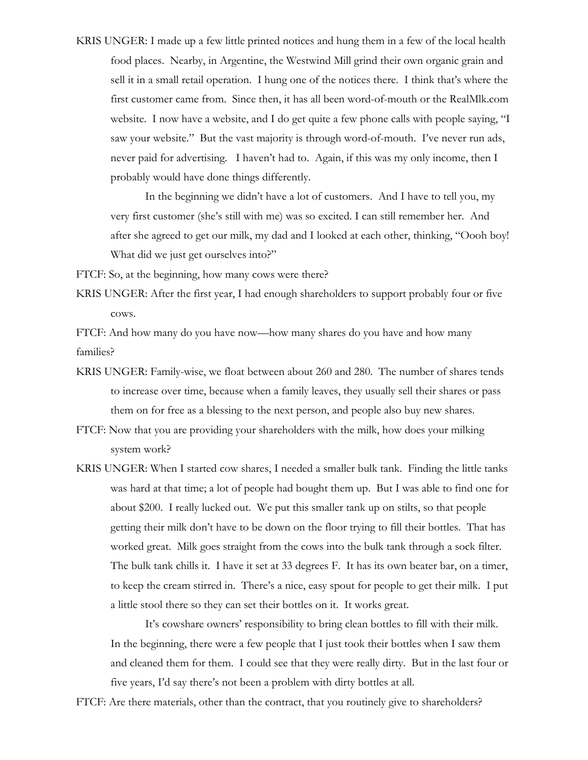KRIS UNGER: I made up a few little printed notices and hung them in a few of the local health food places. Nearby, in Argentine, the Westwind Mill grind their own organic grain and sell it in a small retail operation. I hung one of the notices there. I think that's where the first customer came from. Since then, it has all been word-of-mouth or the RealMlk.com website. I now have a website, and I do get quite a few phone calls with people saying, "I saw your website." But the vast majority is through word-of-mouth. I've never run ads, never paid for advertising. I haven't had to. Again, if this was my only income, then I probably would have done things differently.

In the beginning we didn't have a lot of customers. And I have to tell you, my very first customer (she's still with me) was so excited. I can still remember her. And after she agreed to get our milk, my dad and I looked at each other, thinking, "Oooh boy! What did we just get ourselves into?"

FTCF: So, at the beginning, how many cows were there?

KRIS UNGER: After the first year, I had enough shareholders to support probably four or five cows.

FTCF: And how many do you have now—how many shares do you have and how many families?

- KRIS UNGER: Family-wise, we float between about 260 and 280. The number of shares tends to increase over time, because when a family leaves, they usually sell their shares or pass them on for free as a blessing to the next person, and people also buy new shares.
- FTCF: Now that you are providing your shareholders with the milk, how does your milking system work?
- KRIS UNGER: When I started cow shares, I needed a smaller bulk tank. Finding the little tanks was hard at that time; a lot of people had bought them up. But I was able to find one for about \$200. I really lucked out. We put this smaller tank up on stilts, so that people getting their milk don't have to be down on the floor trying to fill their bottles. That has worked great. Milk goes straight from the cows into the bulk tank through a sock filter. The bulk tank chills it. I have it set at 33 degrees F. It has its own beater bar, on a timer, to keep the cream stirred in. There's a nice, easy spout for people to get their milk. I put a little stool there so they can set their bottles on it. It works great.

It's cowshare owners' responsibility to bring clean bottles to fill with their milk. In the beginning, there were a few people that I just took their bottles when I saw them and cleaned them for them. I could see that they were really dirty. But in the last four or five years, I'd say there's not been a problem with dirty bottles at all.

FTCF: Are there materials, other than the contract, that you routinely give to shareholders?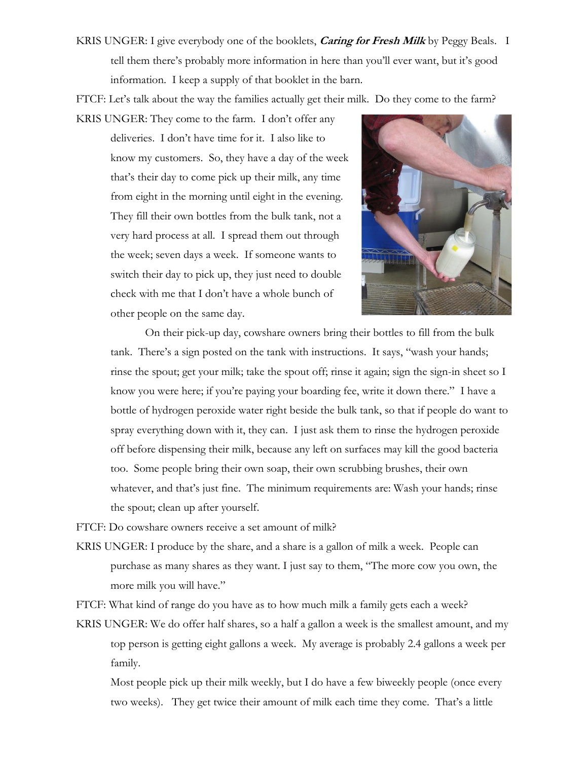KRIS UNGER: I give everybody one of the booklets, **Caring for Fresh Milk** by Peggy Beals. I tell them there's probably more information in here than you'll ever want, but it's good information. I keep a supply of that booklet in the barn.

FTCF: Let's talk about the way the families actually get their milk. Do they come to the farm?

KRIS UNGER: They come to the farm. I don't offer any deliveries. I don't have time for it. I also like to know my customers. So, they have a day of the week that's their day to come pick up their milk, any time from eight in the morning until eight in the evening. They fill their own bottles from the bulk tank, not a very hard process at all. I spread them out through the week; seven days a week. If someone wants to switch their day to pick up, they just need to double check with me that I don't have a whole bunch of other people on the same day.



On their pick-up day, cowshare owners bring their bottles to fill from the bulk tank. There's a sign posted on the tank with instructions. It says, "wash your hands; rinse the spout; get your milk; take the spout off; rinse it again; sign the sign-in sheet so I know you were here; if you're paying your boarding fee, write it down there." I have a bottle of hydrogen peroxide water right beside the bulk tank, so that if people do want to spray everything down with it, they can. I just ask them to rinse the hydrogen peroxide off before dispensing their milk, because any left on surfaces may kill the good bacteria too. Some people bring their own soap, their own scrubbing brushes, their own whatever, and that's just fine. The minimum requirements are: Wash your hands; rinse the spout; clean up after yourself.

FTCF: Do cowshare owners receive a set amount of milk?

KRIS UNGER: I produce by the share, and a share is a gallon of milk a week. People can purchase as many shares as they want. I just say to them, "The more cow you own, the more milk you will have."

FTCF: What kind of range do you have as to how much milk a family gets each a week?

KRIS UNGER: We do offer half shares, so a half a gallon a week is the smallest amount, and my top person is getting eight gallons a week. My average is probably 2.4 gallons a week per family.

Most people pick up their milk weekly, but I do have a few biweekly people (once every two weeks). They get twice their amount of milk each time they come. That's a little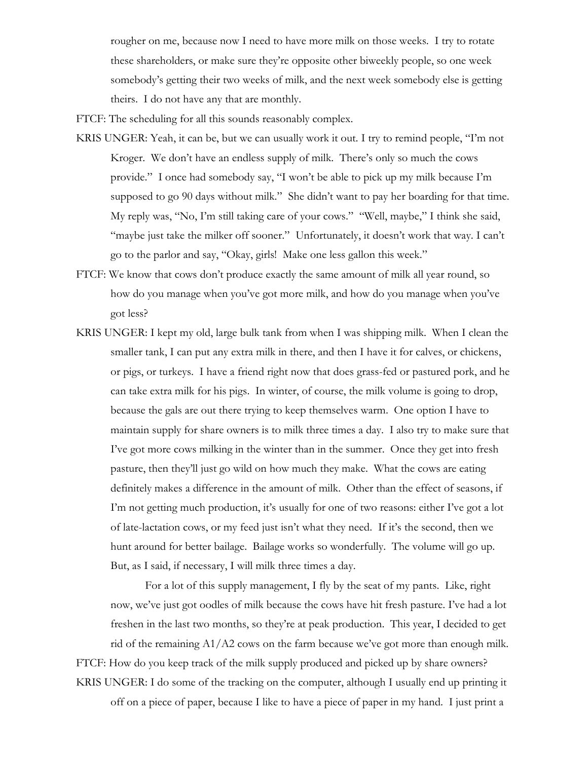rougher on me, because now I need to have more milk on those weeks. I try to rotate these shareholders, or make sure they're opposite other biweekly people, so one week somebody's getting their two weeks of milk, and the next week somebody else is getting theirs. I do not have any that are monthly.

FTCF: The scheduling for all this sounds reasonably complex.

- KRIS UNGER: Yeah, it can be, but we can usually work it out. I try to remind people, "I'm not Kroger. We don't have an endless supply of milk. There's only so much the cows provide." I once had somebody say, "I won't be able to pick up my milk because I'm supposed to go 90 days without milk." She didn't want to pay her boarding for that time. My reply was, "No, I'm still taking care of your cows." "Well, maybe," I think she said, "maybe just take the milker off sooner." Unfortunately, it doesn't work that way. I can't go to the parlor and say, "Okay, girls! Make one less gallon this week."
- FTCF: We know that cows don't produce exactly the same amount of milk all year round, so how do you manage when you've got more milk, and how do you manage when you've got less?
- KRIS UNGER: I kept my old, large bulk tank from when I was shipping milk. When I clean the smaller tank, I can put any extra milk in there, and then I have it for calves, or chickens, or pigs, or turkeys. I have a friend right now that does grass-fed or pastured pork, and he can take extra milk for his pigs. In winter, of course, the milk volume is going to drop, because the gals are out there trying to keep themselves warm. One option I have to maintain supply for share owners is to milk three times a day. I also try to make sure that I've got more cows milking in the winter than in the summer. Once they get into fresh pasture, then they'll just go wild on how much they make. What the cows are eating definitely makes a difference in the amount of milk. Other than the effect of seasons, if I'm not getting much production, it's usually for one of two reasons: either I've got a lot of late-lactation cows, or my feed just isn't what they need. If it's the second, then we hunt around for better bailage. Bailage works so wonderfully. The volume will go up. But, as I said, if necessary, I will milk three times a day.

For a lot of this supply management, I fly by the seat of my pants. Like, right now, we've just got oodles of milk because the cows have hit fresh pasture. I've had a lot freshen in the last two months, so they're at peak production. This year, I decided to get rid of the remaining A1/A2 cows on the farm because we've got more than enough milk.

FTCF: How do you keep track of the milk supply produced and picked up by share owners?

KRIS UNGER: I do some of the tracking on the computer, although I usually end up printing it off on a piece of paper, because I like to have a piece of paper in my hand. I just print a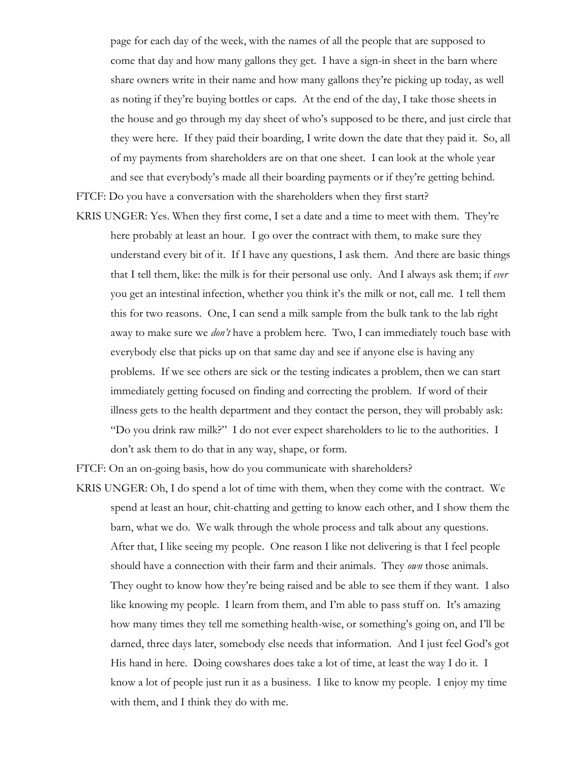page for each day of the week, with the names of all the people that are supposed to come that day and how many gallons they get. I have a sign-in sheet in the barn where share owners write in their name and how many gallons they're picking up today, as well as noting if they're buying bottles or caps. At the end of the day, I take those sheets in the house and go through my day sheet of who's supposed to be there, and just circle that they were here. If they paid their boarding, I write down the date that they paid it. So, all of my payments from shareholders are on that one sheet. I can look at the whole year and see that everybody's made all their boarding payments or if they're getting behind.

FTCF: Do you have a conversation with the shareholders when they first start?

KRIS UNGER: Yes. When they first come, I set a date and a time to meet with them. They're here probably at least an hour. I go over the contract with them, to make sure they understand every bit of it. If I have any questions, I ask them. And there are basic things that I tell them, like: the milk is for their personal use only. And I always ask them; if *ever* you get an intestinal infection, whether you think it's the milk or not, call me. I tell them this for two reasons. One, I can send a milk sample from the bulk tank to the lab right away to make sure we *don't* have a problem here. Two, I can immediately touch base with everybody else that picks up on that same day and see if anyone else is having any problems. If we see others are sick or the testing indicates a problem, then we can start immediately getting focused on finding and correcting the problem. If word of their illness gets to the health department and they contact the person, they will probably ask: "Do you drink raw milk?" I do not ever expect shareholders to lie to the authorities. I don't ask them to do that in any way, shape, or form.

FTCF: On an on-going basis, how do you communicate with shareholders?

KRIS UNGER: Oh, I do spend a lot of time with them, when they come with the contract. We spend at least an hour, chit-chatting and getting to know each other, and I show them the barn, what we do. We walk through the whole process and talk about any questions. After that, I like seeing my people. One reason I like not delivering is that I feel people should have a connection with their farm and their animals. They *own* those animals. They ought to know how they're being raised and be able to see them if they want. I also like knowing my people. I learn from them, and I'm able to pass stuff on. It's amazing how many times they tell me something health-wise, or something's going on, and I'll be darned, three days later, somebody else needs that information. And I just feel God's got His hand in here. Doing cowshares does take a lot of time, at least the way I do it. I know a lot of people just run it as a business. I like to know my people. I enjoy my time with them, and I think they do with me.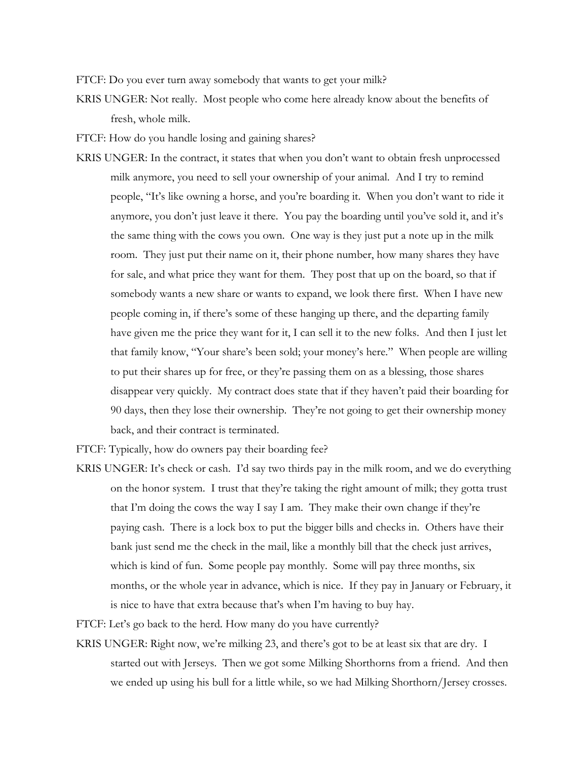FTCF: Do you ever turn away somebody that wants to get your milk?

KRIS UNGER: Not really. Most people who come here already know about the benefits of fresh, whole milk.

FTCF: How do you handle losing and gaining shares?

KRIS UNGER: In the contract, it states that when you don't want to obtain fresh unprocessed milk anymore, you need to sell your ownership of your animal. And I try to remind people, "It's like owning a horse, and you're boarding it. When you don't want to ride it anymore, you don't just leave it there. You pay the boarding until you've sold it, and it's the same thing with the cows you own. One way is they just put a note up in the milk room. They just put their name on it, their phone number, how many shares they have for sale, and what price they want for them. They post that up on the board, so that if somebody wants a new share or wants to expand, we look there first. When I have new people coming in, if there's some of these hanging up there, and the departing family have given me the price they want for it, I can sell it to the new folks. And then I just let that family know, "Your share's been sold; your money's here." When people are willing to put their shares up for free, or they're passing them on as a blessing, those shares disappear very quickly. My contract does state that if they haven't paid their boarding for 90 days, then they lose their ownership. They're not going to get their ownership money back, and their contract is terminated.

FTCF: Typically, how do owners pay their boarding fee?

KRIS UNGER: It's check or cash. I'd say two thirds pay in the milk room, and we do everything on the honor system. I trust that they're taking the right amount of milk; they gotta trust that I'm doing the cows the way I say I am. They make their own change if they're paying cash. There is a lock box to put the bigger bills and checks in. Others have their bank just send me the check in the mail, like a monthly bill that the check just arrives, which is kind of fun. Some people pay monthly. Some will pay three months, six months, or the whole year in advance, which is nice. If they pay in January or February, it is nice to have that extra because that's when I'm having to buy hay.

FTCF: Let's go back to the herd. How many do you have currently?

KRIS UNGER: Right now, we're milking 23, and there's got to be at least six that are dry. I started out with Jerseys. Then we got some Milking Shorthorns from a friend. And then we ended up using his bull for a little while, so we had Milking Shorthorn/Jersey crosses.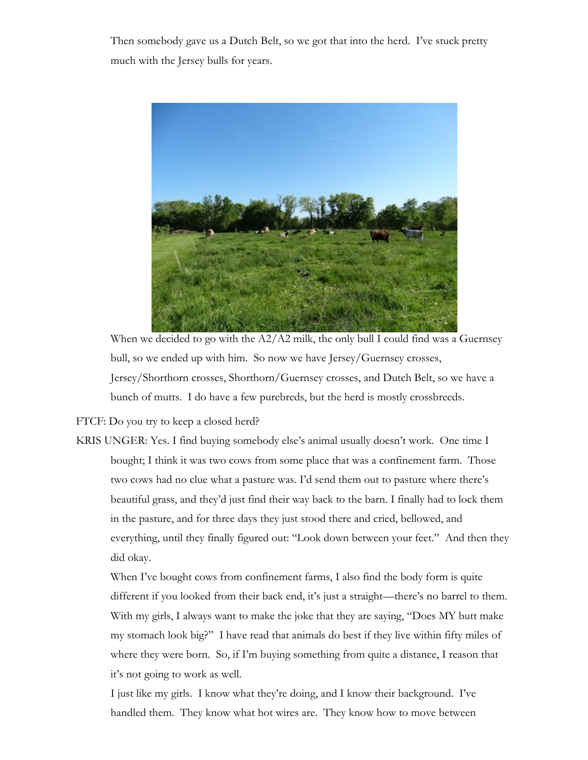Then somebody gave us a Dutch Belt, so we got that into the herd. I've stuck pretty much with the Jersey bulls for years.



When we decided to go with the A2/A2 milk, the only bull I could find was a Guernsey bull, so we ended up with him. So now we have Jersey/Guernsey crosses, Jersey/Shorthorn crosses, Shorthorn/Guernsey crosses, and Dutch Belt, so we have a bunch of mutts. I do have a few purebreds, but the herd is mostly crossbreeds.

FTCF: Do you try to keep a closed herd?

KRIS UNGER: Yes. I find buying somebody else's animal usually doesn't work. One time I bought; I think it was two cows from some place that was a confinement farm. Those two cows had no clue what a pasture was. I'd send them out to pasture where there's beautiful grass, and they'd just find their way back to the barn. I finally had to lock them in the pasture, and for three days they just stood there and cried, bellowed, and everything, until they finally figured out: "Look down between your feet." And then they did okay.

When I've bought cows from confinement farms, I also find the body form is quite different if you looked from their back end, it's just a straight—there's no barrel to them. With my girls, I always want to make the joke that they are saying, "Does MY butt make my stomach look big?" I have read that animals do best if they live within fifty miles of where they were born. So, if I'm buying something from quite a distance, I reason that it's not going to work as well.

I just like my girls. I know what they're doing, and I know their background. I've handled them. They know what hot wires are. They know how to move between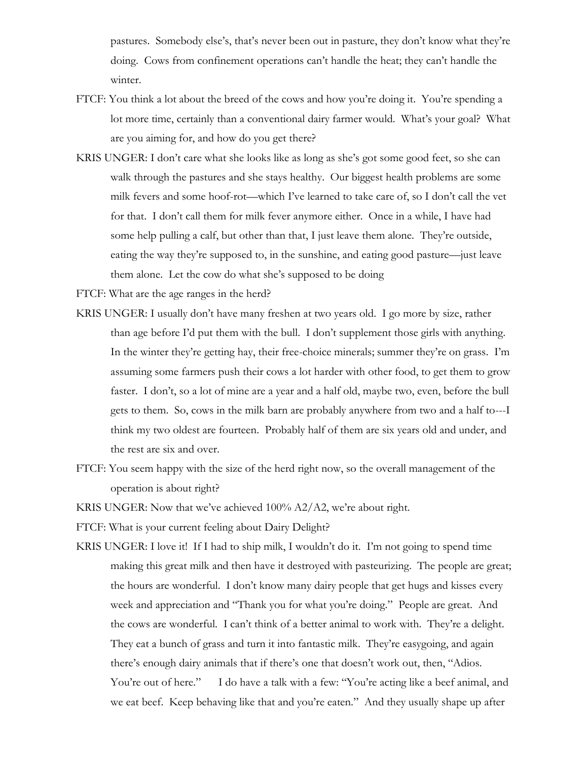pastures. Somebody else's, that's never been out in pasture, they don't know what they're doing. Cows from confinement operations can't handle the heat; they can't handle the winter.

- FTCF: You think a lot about the breed of the cows and how you're doing it. You're spending a lot more time, certainly than a conventional dairy farmer would. What's your goal? What are you aiming for, and how do you get there?
- KRIS UNGER: I don't care what she looks like as long as she's got some good feet, so she can walk through the pastures and she stays healthy. Our biggest health problems are some milk fevers and some hoof-rot—which I've learned to take care of, so I don't call the vet for that. I don't call them for milk fever anymore either. Once in a while, I have had some help pulling a calf, but other than that, I just leave them alone. They're outside, eating the way they're supposed to, in the sunshine, and eating good pasture—just leave them alone. Let the cow do what she's supposed to be doing

FTCF: What are the age ranges in the herd?

- KRIS UNGER: I usually don't have many freshen at two years old. I go more by size, rather than age before I'd put them with the bull. I don't supplement those girls with anything. In the winter they're getting hay, their free-choice minerals; summer they're on grass. I'm assuming some farmers push their cows a lot harder with other food, to get them to grow faster. I don't, so a lot of mine are a year and a half old, maybe two, even, before the bull gets to them. So, cows in the milk barn are probably anywhere from two and a half to---I think my two oldest are fourteen. Probably half of them are six years old and under, and the rest are six and over.
- FTCF: You seem happy with the size of the herd right now, so the overall management of the operation is about right?

KRIS UNGER: Now that we've achieved 100% A2/A2, we're about right.

FTCF: What is your current feeling about Dairy Delight?

KRIS UNGER: I love it! If I had to ship milk, I wouldn't do it. I'm not going to spend time making this great milk and then have it destroyed with pasteurizing. The people are great; the hours are wonderful. I don't know many dairy people that get hugs and kisses every week and appreciation and "Thank you for what you're doing." People are great. And the cows are wonderful. I can't think of a better animal to work with. They're a delight. They eat a bunch of grass and turn it into fantastic milk. They're easygoing, and again there's enough dairy animals that if there's one that doesn't work out, then, "Adios. You're out of here." I do have a talk with a few: "You're acting like a beef animal, and we eat beef. Keep behaving like that and you're eaten." And they usually shape up after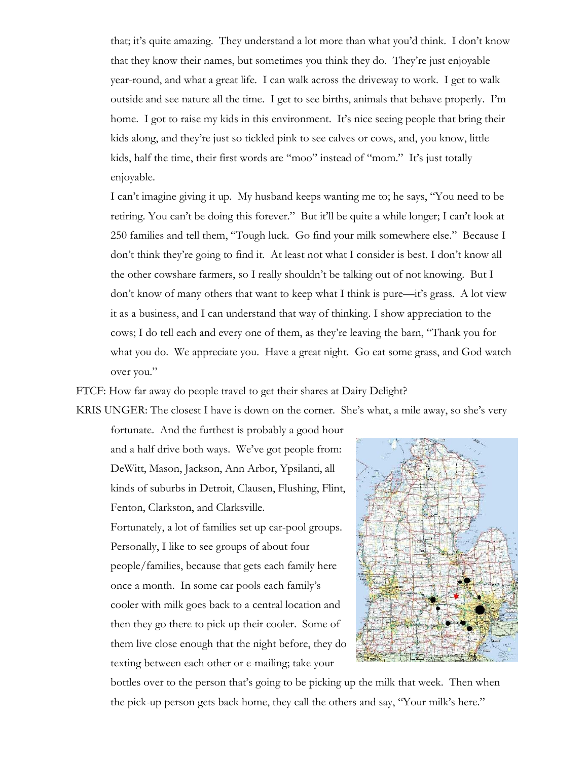that; it's quite amazing. They understand a lot more than what you'd think. I don't know that they know their names, but sometimes you think they do. They're just enjoyable year-round, and what a great life. I can walk across the driveway to work. I get to walk outside and see nature all the time. I get to see births, animals that behave properly. I'm home. I got to raise my kids in this environment. It's nice seeing people that bring their kids along, and they're just so tickled pink to see calves or cows, and, you know, little kids, half the time, their first words are "moo" instead of "mom." It's just totally enjoyable.

I can't imagine giving it up. My husband keeps wanting me to; he says, "You need to be retiring. You can't be doing this forever." But it'll be quite a while longer; I can't look at 250 families and tell them, "Tough luck. Go find your milk somewhere else." Because I don't think they're going to find it. At least not what I consider is best. I don't know all the other cowshare farmers, so I really shouldn't be talking out of not knowing. But I don't know of many others that want to keep what I think is pure—it's grass. A lot view it as a business, and I can understand that way of thinking. I show appreciation to the cows; I do tell each and every one of them, as they're leaving the barn, "Thank you for what you do. We appreciate you. Have a great night. Go eat some grass, and God watch over you."

FTCF: How far away do people travel to get their shares at Dairy Delight?

KRIS UNGER: The closest I have is down on the corner. She's what, a mile away, so she's very

fortunate. And the furthest is probably a good hour and a half drive both ways. We've got people from: DeWitt, Mason, Jackson, Ann Arbor, Ypsilanti, all kinds of suburbs in Detroit, Clausen, Flushing, Flint, Fenton, Clarkston, and Clarksville.

Fortunately, a lot of families set up car-pool groups. Personally, I like to see groups of about four people/families, because that gets each family here once a month. In some car pools each family's cooler with milk goes back to a central location and then they go there to pick up their cooler. Some of them live close enough that the night before, they do texting between each other or e-mailing; take your



bottles over to the person that's going to be picking up the milk that week. Then when the pick-up person gets back home, they call the others and say, "Your milk's here."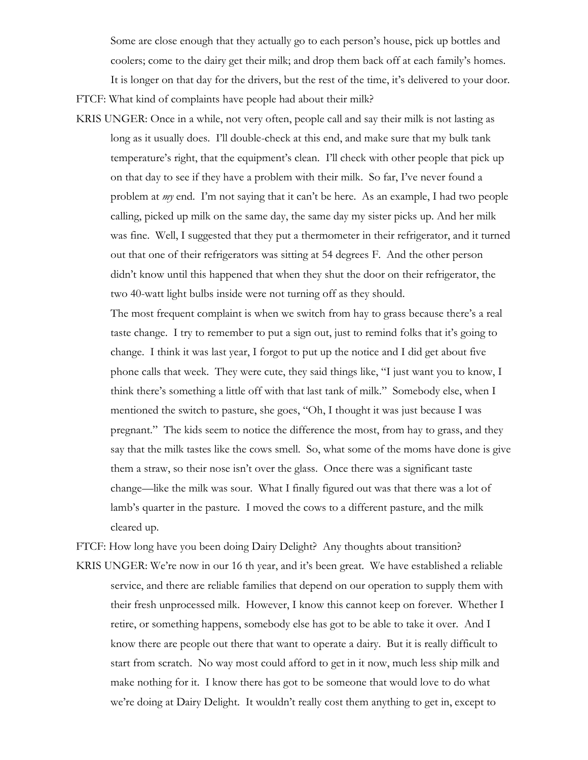Some are close enough that they actually go to each person's house, pick up bottles and

coolers; come to the dairy get their milk; and drop them back off at each family's homes.

It is longer on that day for the drivers, but the rest of the time, it's delivered to your door. FTCF: What kind of complaints have people had about their milk?

KRIS UNGER: Once in a while, not very often, people call and say their milk is not lasting as long as it usually does. I'll double-check at this end, and make sure that my bulk tank temperature's right, that the equipment's clean. I'll check with other people that pick up on that day to see if they have a problem with their milk. So far, I've never found a problem at *my* end. I'm not saying that it can't be here. As an example, I had two people calling, picked up milk on the same day, the same day my sister picks up. And her milk was fine. Well, I suggested that they put a thermometer in their refrigerator, and it turned out that one of their refrigerators was sitting at 54 degrees F. And the other person didn't know until this happened that when they shut the door on their refrigerator, the two 40-watt light bulbs inside were not turning off as they should.

The most frequent complaint is when we switch from hay to grass because there's a real taste change. I try to remember to put a sign out, just to remind folks that it's going to change. I think it was last year, I forgot to put up the notice and I did get about five phone calls that week. They were cute, they said things like, "I just want you to know, I think there's something a little off with that last tank of milk." Somebody else, when I mentioned the switch to pasture, she goes, "Oh, I thought it was just because I was pregnant." The kids seem to notice the difference the most, from hay to grass, and they say that the milk tastes like the cows smell. So, what some of the moms have done is give them a straw, so their nose isn't over the glass. Once there was a significant taste change—like the milk was sour. What I finally figured out was that there was a lot of lamb's quarter in the pasture. I moved the cows to a different pasture, and the milk cleared up.

FTCF: How long have you been doing Dairy Delight? Any thoughts about transition? KRIS UNGER: We're now in our 16 th year, and it's been great. We have established a reliable service, and there are reliable families that depend on our operation to supply them with their fresh unprocessed milk. However, I know this cannot keep on forever. Whether I retire, or something happens, somebody else has got to be able to take it over. And I know there are people out there that want to operate a dairy. But it is really difficult to start from scratch. No way most could afford to get in it now, much less ship milk and make nothing for it. I know there has got to be someone that would love to do what we're doing at Dairy Delight. It wouldn't really cost them anything to get in, except to